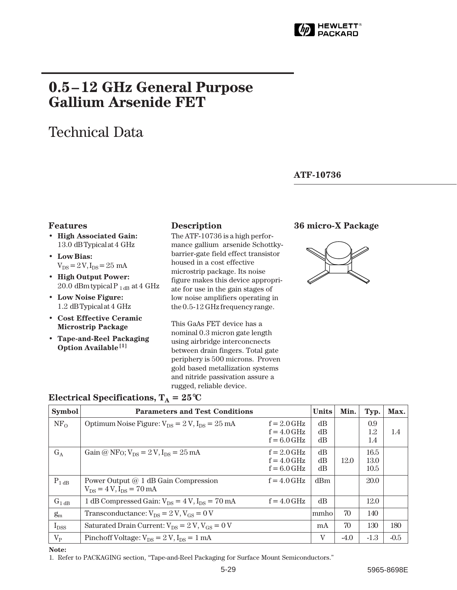

# **0.5–12 GHz General Purpose Gallium Arsenide FET**

# Technical Data

#### **ATF-10736**

#### **Features**

- **High Associated Gain:** 13.0 dB Typical at 4 GHz
- **Low Bias:**  $V_{DS} = 2 V, I_{DS} = 25$  mA
- **High Output Power:** 20.0 $dBm$  typical P  $_{1 dB}$  at 4 GHz
- **Low Noise Figure:** 1.2 dB Typical at 4 GHz
- **Cost Effective Ceramic Microstrip Package**
- **Tape-and-Reel Packaging Option Available[1]**

The ATF-10736 is a high performance gallium arsenide Schottkybarrier-gate field effect transistor housed in a cost effective microstrip package. Its noise figure makes this device appropriate for use in the gain stages of low noise amplifiers operating in the 0.5-12 GHz frequency range.

This GaAs FET device has a nominal 0.3 micron gate length using airbridge interconcnects between drain fingers. Total gate periphery is 500 microns. Proven gold based metallization systems and nitride passivation assure a rugged, reliable device.

#### **Description 36 micro-X Package**



| <b>Symbol</b>   | <b>Parameters and Test Conditions</b>                                     |                                                 | <b>Units</b>   | Min.   | Typ.                 | Max.   |
|-----------------|---------------------------------------------------------------------------|-------------------------------------------------|----------------|--------|----------------------|--------|
| NF <sub>O</sub> | Optimum Noise Figure: $V_{DS} = 2 V$ , $I_{DS} = 25$ mA                   | $f = 2.0$ GHz<br>$f = 4.0$ GHz<br>$f = 6.0$ GHz | dB<br>dB<br>dB |        | 0.9<br>1.2<br>1.4    | 1.4    |
| $G_A$           | Gain @ NF <sub>O</sub> ; $V_{DS} = 2 V$ , $I_{DS} = 25$ mA                | $f = 2.0$ GHz<br>$f = 4.0$ GHz<br>$f = 6.0$ GHz | dB<br>dB<br>dB | 12.0   | 16.5<br>13.0<br>10.5 |        |
| $P_{1 dB}$      | Power Output @ 1 dB Gain Compression<br>$V_{DS} = 4 V$ , $I_{DS} = 70$ mA | $f = 4.0$ GHz                                   | dBm            |        | 20.0                 |        |
| $G_{1 dB}$      | 1 dB Compressed Gain: $V_{DS} = 4 V$ , $I_{DS} = 70$ mA                   | $f = 4.0$ GHz                                   | dB             |        | 12.0                 |        |
| $g_{m}$         | Transconductance: $V_{DS} = 2 V$ , $V_{GS} = 0 V$                         |                                                 | mmho           | 70     | 140                  |        |
| $I_{DSS}$       | Saturated Drain Current: $V_{DS} = 2 V$ , $V_{GS} = 0 V$                  |                                                 | mA             | 70     | 130                  | 180    |
| $V_{P}$         | Pinchoff Voltage: $V_{DS} = 2 V$ , $I_{DS} = 1 mA$                        |                                                 | V              | $-4.0$ | $-1.3$               | $-0.5$ |

### **Electrical Specifications,**  $T_A = 25^{\circ}C$

**Note:**

1. Refer to PACKAGING section, "Tape-and-Reel Packaging for Surface Mount Semiconductors."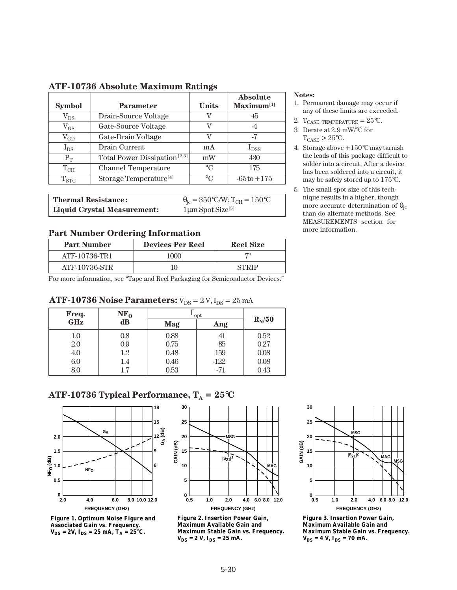| <b>Symbol</b> | <b>Parameter</b>                         | <b>Units</b> | <b>Absolute</b><br>$Maximum^{[1]}$ |
|---------------|------------------------------------------|--------------|------------------------------------|
| $\rm V_{DS}$  | Drain-Source Voltage                     | V            | +5                                 |
| $\rm V_{GS}$  | Gate-Source Voltage                      | V            | $-4$                               |
| $\rm V_{GD}$  | Gate-Drain Voltage                       | V            | -7                                 |
| $I_{DS}$      | Drain Current                            | mA           | $I_{DSS}$                          |
| $P_T$         | Total Power Dissipation <sup>[2,3]</sup> | mW           | 430                                |
| $T_{\rm CH}$  | <b>Channel Temperature</b>               | $\circ$ C    | 175                                |
| $T_{STG}$     | Storage Temperature <sup>[4]</sup>       | $\circ$ C    | $-65t0 + 175$                      |

#### **ATF-10736 Absolute Maximum Ratings**

**Thermal Resistance:**  $\theta_{jc} = 350^{\circ}C/W; T_{CH} = 150^{\circ}C$ <br>**Liquid Crystal Measurement:**  $1 \mu m$  Spot Size<sup>[5]</sup> Liquid Crystal Measurement:

## Part Number Ordering Information **Part Number Ordering Information**

| <b>Part Number</b> | <b>Devices Per Reel</b> | <b>Reel Size</b> |  |  |
|--------------------|-------------------------|------------------|--|--|
| ATF-10736-TR1      | 1000                    |                  |  |  |
| ATF-10736-STR      |                         | STRIP            |  |  |

For more information, see "Tape and Reel Packaging for Semiconductor Devices."

#### **ATF-10736 Noise Parameters:**  $V_{DS} = 2 V$ ,  $I_{DS} = 25$  mA

| Freq.      | NF <sub>o</sub> | opt  |        |          |  |
|------------|-----------------|------|--------|----------|--|
| <b>GHz</b> | $\bf dB$        | Mag  | Ang    | $R_N/50$ |  |
| 1.0        | 0.8             | 0.88 | 41     | 0.52     |  |
| 2.0        | 0.9             | 0.75 | 85     | 0.27     |  |
| 4.0        | 1.2             | 0.48 | 159    | 0.08     |  |
| 6.0        | 1.4             | 0.46 | $-122$ | 0.08     |  |
| 8.0        | $1.7\,$         | 0.53 | $-71$  | 0.43     |  |

#### **ATF-10736 Typical Performance,**  $T_A = 25^{\circ}C$



**Figure 1. Optimum Noise Figure and Associated Gain vs. Frequency.**  $V_{DS} = 2V$ ,  $I_{DS} = 25$  mA,  $T_A = 25^{\circ}C$ .



**Figure 2. Insertion Power Gain, Maximum Available Gain and Maximum Stable Gain vs. Frequency.**   $V_{DS} = 2 V$ ,  $I_{DS} = 25$  mA.

#### **FREQUENCY (GHz) GAIN (dB) |S21|2 MSG MSG MAG 0.5 1.0 2.0 4.0 6.0 8.0 12.0 30 25 20 15 10 5 0**

**Figure 3. Insertion Power Gain, Maximum Available Gain and Maximum Stable Gain vs. Frequency.**   $V_{DS} = 4 V$ ,  $I_{DS} = 70 mA$ .

#### **Notes:**

- 1. Permanent damage may occur if any of these limits are exceeded.
- 2. T<sub>CASE</sub> TEMPERATURE =  $25^{\circ}$ C.
- 3. Derate at 2.9 mW/°C for  $T_{CASE}$  > 25°C.
- 4. Storage above +150°C may tarnish the leads of this package difficult to solder into a circuit. After a device has been soldered into a circuit, it may be safely stored up to 175°C.
- 5. The small spot size of this technique results in a higher, though more accurate determination of  $\theta_{\text{ic}}$ than do alternate methods. See MEASUREMENTS section for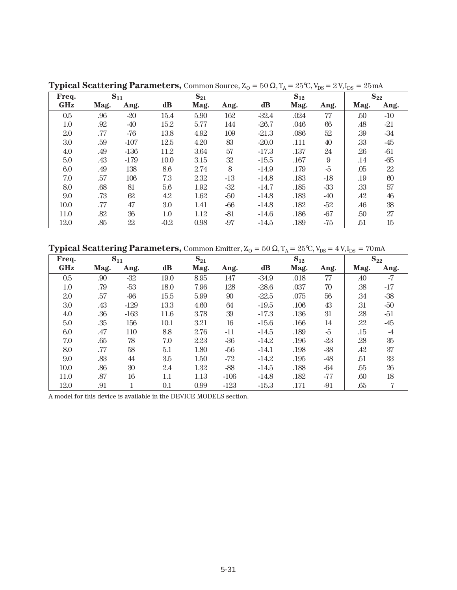| Freq.   | $S_{11}$ |        | $S_{21}$ |      | $S_{12}$ |         |      | $S_{22}$ |      |        |
|---------|----------|--------|----------|------|----------|---------|------|----------|------|--------|
| GHz     | Mag.     | Ang.   | dB       | Mag. | Ang.     | dB      | Mag. | Ang.     | Mag. | Ang.   |
| $0.5\,$ | .96      | $-20$  | 15.4     | 5.90 | 162      | $-32.4$ | .024 | 77       | .50  | $-10$  |
| 1.0     | .92      | -40    | 15.2     | 5.77 | 144      | $-26.7$ | .046 | 66       | .48  | $-21$  |
| 2.0     | .77      | $-76$  | 13.8     | 4.92 | 109      | $-21.3$ | .086 | 52       | .39  | -34    |
| 3.0     | .59      | $-107$ | 12.5     | 4.20 | 83       | $-20.0$ | .111 | 40       | .33  | $-45$  |
| 4.0     | .49      | $-136$ | 11.2     | 3.64 | 57       | $-17.3$ | .137 | 24       | .26  | $-61$  |
| 5.0     | .43      | $-179$ | 10.0     | 3.15 | 32       | $-15.5$ | .167 | 9        | .14  | $-65$  |
| 6.0     | .49      | 138    | 8.6      | 2.74 | 8        | $-14.9$ | .179 | $-5$     | .05  | $22\,$ |
| 7.0     | .57      | 106    | 7.3      | 2.32 | $-13$    | $-14.8$ | .183 | $-18$    | .19  | 60     |
| 8.0     | .68      | 81     | 5.6      | 1.92 | $-32$    | $-14.7$ | .185 | $-33$    | .33  | 57     |
| 9.0     | .73      | 62     | 4.2      | 1.62 | $-50$    | $-14.8$ | .183 | -40      | .42  | 46     |
| 10.0    | .77      | 47     | 3.0      | 1.41 | $-66$    | $-14.8$ | .182 | -52      | .46  | 38     |
| 11.0    | .82      | 36     | 1.0      | 1.12 | $-81$    | $-14.6$ | .186 | $-67$    | .50  | 27     |
| 12.0    | .85      | 22     | $-0.2$   | 0.98 | $-97$    | $-14.5$ | .189 | -75      | .51  | 15     |

**Typical Scattering Parameters,** Common Source,  $Z_0 = 50 \Omega$ ,  $T_A = 25 \text{°C}$ ,  $V_{DS} = 2 \text{V}$ ,  $I_{DS} = 25 \text{ mA}$ 

**Typical Scattering Parameters,** Common Emitter,  $Z_0 = 50 \Omega$ ,  $T_A = 25 \text{°C}$ ,  $V_{DS} = 4 \text{ V}$ ,  $I_{DS} = 70 \text{ mA}$ 

| Freq.      | $S_{11}$ |        | $S_{21}$ |      | $S_{12}$ |               |      | $S_{22}$ |      |                |
|------------|----------|--------|----------|------|----------|---------------|------|----------|------|----------------|
| <b>GHz</b> | Mag.     | Ang.   | $\bf dB$ | Mag. | Ang.     | $\mathbf{dB}$ | Mag. | Ang.     | Mag. | Ang.           |
| 0.5        | .90      | $-32$  | 19.0     | 8.95 | 147      | $-34.9$       | .018 | 77       | .40  | $-7$           |
| 1.0        | .79      | $-53$  | 18.0     | 7.96 | 128      | $-28.6$       | .037 | 70       | .38  | $-17$          |
| 2.0        | .57      | $-96$  | 15.5     | 5.99 | 90       | $-22.5$       | .075 | 56       | .34  | $-38$          |
| 3.0        | .43      | $-129$ | 13.3     | 4.60 | 64       | $-19.5$       | .106 | 43       | .31  | -50            |
| 4.0        | .36      | $-163$ | 11.6     | 3.78 | 39       | $-17.3$       | .136 | 31       | .28  | -51            |
| 5.0        | .35      | 156    | 10.1     | 3.21 | 16       | $-15.6$       | .166 | 14       | .22  | $-45$          |
| 6.0        | .47      | 110    | 8.8      | 2.76 | $-11$    | $-14.5$       | .189 | -5       | .15  | $\overline{A}$ |
| 7.0        | .65      | 78     | 7.0      | 2.23 | $-36$    | $-14.2$       | .196 | $-23$    | .28  | $35\,$         |
| 8.0        | .77      | 58     | 5.1      | 1.80 | $-56$    | $-14.1$       | .198 | $-38$    | .42  | 37             |
| 9.0        | .83      | 44     | 3.5      | 1.50 | $-72$    | $-14.2$       | .195 | -48      | .51  | 33             |
| 10.0       | .86      | 30     | 2.4      | 1.32 | $-88$    | $-14.5$       | .188 | -64      | .55  | 26             |
| 11.0       | .87      | 16     | 1.1      | 1.13 | $-106$   | $-14.8$       | .182 | $-77$    | .60  | 18             |
| 12.0       | .91      |        | 0.1      | 0.99 | $-123$   | $-15.3$       | .171 | $-91$    | .65  | 7              |

A model for this device is available in the DEVICE MODELS section.